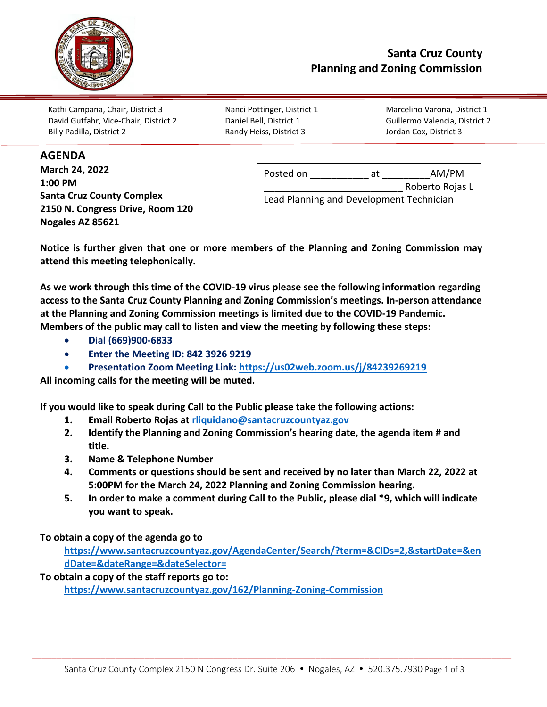

Kathi Campana, Chair, District 3 Nanci Pottinger, District 1 Marcelino Varona, District 1 David Gutfahr, Vice-Chair, District 2 Daniel Bell, District 1 Guillermo Valencia, District 2 Billy Padilla, District 2 Randy Heiss, District 3 Jordan Cox, District 3

## **AGENDA**

**March 24, 2022 1:00 PM Santa Cruz County Complex 2150 N. Congress Drive, Room 120 Nogales AZ 85621**

| Nanci Pottinger, District 1 |
|-----------------------------|
| Daniel Bell, District 1     |
| Randy Heiss, District 3     |

| Posted on                                | ат | AM/PM           |  |
|------------------------------------------|----|-----------------|--|
|                                          |    | Roberto Rojas L |  |
| Lead Planning and Development Technician |    |                 |  |

**Notice is further given that one or more members of the Planning and Zoning Commission may attend this meeting telephonically.**

**As we work through this time of the COVID-19 virus please see the following information regarding access to the Santa Cruz County Planning and Zoning Commission's meetings. In-person attendance at the Planning and Zoning Commission meetings is limited due to the COVID-19 Pandemic. Members of the public may call to listen and view the meeting by following these steps:** 

- **Dial (669)900-6833**
- **Enter the Meeting ID: 842 3926 9219**
- **Presentation Zoom Meeting Link:<https://us02web.zoom.us/j/84239269219>**

**All incoming calls for the meeting will be muted.** 

**If you would like to speak during Call to the Public please take the following actions:** 

- **1. Email Roberto Rojas at [rliquidano@santacruzcountyaz.gov](mailto:rliquidano@santacruzcountyaz.gov)**
- **2. Identify the Planning and Zoning Commission's hearing date, the agenda item # and title.**
- **3. Name & Telephone Number**
- **4. Comments or questions should be sent and received by no later than March 22, 2022 at 5:00PM for the March 24, 2022 Planning and Zoning Commission hearing.**
- **5. In order to make a comment during Call to the Public, please dial \*9, which will indicate you want to speak.**

**To obtain a copy of the agenda go to** 

**[https://www.santacruzcountyaz.gov/AgendaCenter/Search/?term=&CIDs=2,&startDate=&en](https://www.santacruzcountyaz.gov/AgendaCenter/Search/?term=&CIDs=2,&startDate=&endDate=&dateRange=&dateSelector=) [dDate=&dateRange=&dateSelector=](https://www.santacruzcountyaz.gov/AgendaCenter/Search/?term=&CIDs=2,&startDate=&endDate=&dateRange=&dateSelector=)**

**To obtain a copy of the staff reports go to:**

**<https://www.santacruzcountyaz.gov/162/Planning-Zoning-Commission>**

\_\_\_\_\_\_\_\_\_\_\_\_\_\_\_\_\_\_\_\_\_\_\_\_\_\_\_\_\_\_\_\_\_\_\_\_\_\_\_\_\_\_\_\_\_\_\_\_\_\_\_\_\_\_\_\_\_\_\_\_\_\_\_\_\_\_\_\_\_\_\_\_\_\_\_\_\_\_\_\_\_\_\_\_\_\_\_\_\_\_\_\_\_\_\_\_\_\_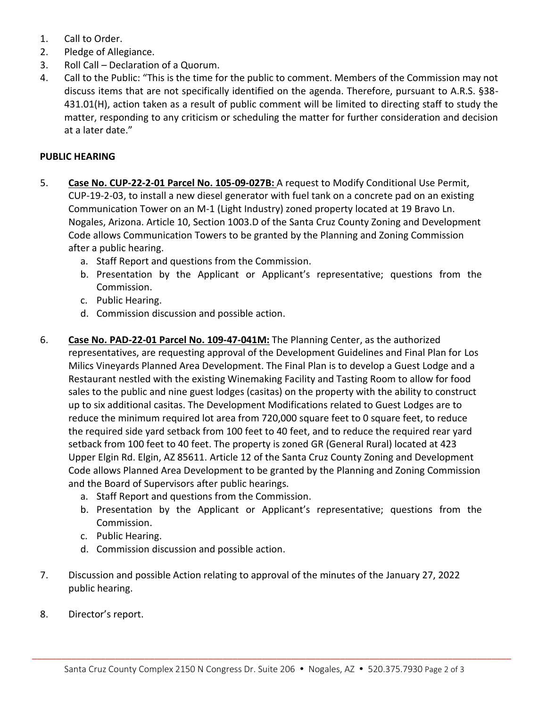- 1. Call to Order.
- 2. Pledge of Allegiance.
- 3. Roll Call Declaration of a Quorum.
- 4. Call to the Public: "This is the time for the public to comment. Members of the Commission may not discuss items that are not specifically identified on the agenda. Therefore, pursuant to A.R.S. §38- 431.01(H), action taken as a result of public comment will be limited to directing staff to study the matter, responding to any criticism or scheduling the matter for further consideration and decision at a later date."

## **PUBLIC HEARING**

- 5. **Case No. CUP-22-2-01 Parcel No. 105-09-027B:** A request to Modify Conditional Use Permit, CUP-19-2-03, to install a new diesel generator with fuel tank on a concrete pad on an existing Communication Tower on an M-1 (Light Industry) zoned property located at 19 Bravo Ln. Nogales, Arizona. Article 10, Section 1003.D of the Santa Cruz County Zoning and Development Code allows Communication Towers to be granted by the Planning and Zoning Commission after a public hearing.
	- a. Staff Report and questions from the Commission.
	- b. Presentation by the Applicant or Applicant's representative; questions from the Commission.
	- c. Public Hearing.
	- d. Commission discussion and possible action.
- 6. **Case No. PAD-22-01 Parcel No. 109-47-041M:** The Planning Center, as the authorized representatives, are requesting approval of the Development Guidelines and Final Plan for Los Milics Vineyards Planned Area Development. The Final Plan is to develop a Guest Lodge and a Restaurant nestled with the existing Winemaking Facility and Tasting Room to allow for food sales to the public and nine guest lodges (casitas) on the property with the ability to construct up to six additional casitas. The Development Modifications related to Guest Lodges are to reduce the minimum required lot area from 720,000 square feet to 0 square feet, to reduce the required side yard setback from 100 feet to 40 feet, and to reduce the required rear yard setback from 100 feet to 40 feet. The property is zoned GR (General Rural) located at 423 Upper Elgin Rd. Elgin, AZ 85611. Article 12 of the Santa Cruz County Zoning and Development Code allows Planned Area Development to be granted by the Planning and Zoning Commission and the Board of Supervisors after public hearings.
	- a. Staff Report and questions from the Commission.
	- b. Presentation by the Applicant or Applicant's representative; questions from the Commission.
	- c. Public Hearing.
	- d. Commission discussion and possible action.
- 7. Discussion and possible Action relating to approval of the minutes of the January 27, 2022 public hearing.
- 8. Director's report.

\_\_\_\_\_\_\_\_\_\_\_\_\_\_\_\_\_\_\_\_\_\_\_\_\_\_\_\_\_\_\_\_\_\_\_\_\_\_\_\_\_\_\_\_\_\_\_\_\_\_\_\_\_\_\_\_\_\_\_\_\_\_\_\_\_\_\_\_\_\_\_\_\_\_\_\_\_\_\_\_\_\_\_\_\_\_\_\_\_\_\_\_\_\_\_\_\_\_